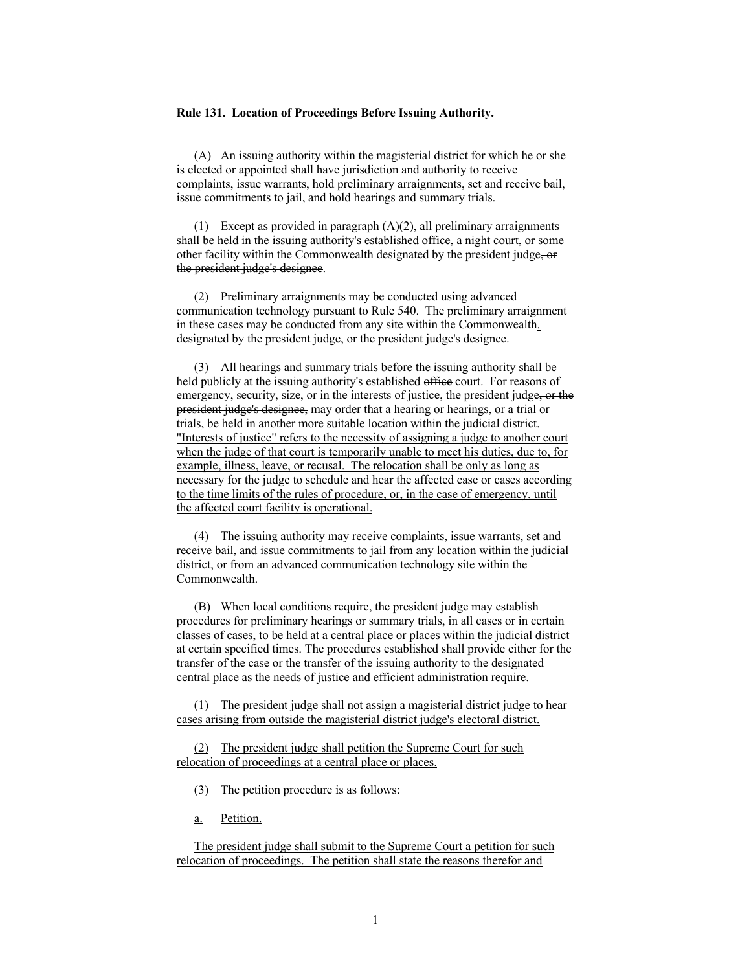## **Rule 131. Location of Proceedings Before Issuing Authority.**

(A) An issuing authority within the magisterial district for which he or she is elected or appointed shall have jurisdiction and authority to receive complaints, issue warrants, hold preliminary arraignments, set and receive bail, issue commitments to jail, and hold hearings and summary trials.

(1) Except as provided in paragraph  $(A)(2)$ , all preliminary arraignments shall be held in the issuing authority's established office, a night court, or some other facility within the Commonwealth designated by the president judge, or the president judge's designee.

(2) Preliminary arraignments may be conducted using advanced communication technology pursuant to Rule 540. The preliminary arraignment in these cases may be conducted from any site within the Commonwealth. designated by the president judge, or the president judge's designee.

(3) All hearings and summary trials before the issuing authority shall be held publicly at the issuing authority's established office court. For reasons of emergency, security, size, or in the interests of justice, the president judge, or the president judge's designee, may order that a hearing or hearings, or a trial or trials, be held in another more suitable location within the judicial district. "Interests of justice" refers to the necessity of assigning a judge to another court when the judge of that court is temporarily unable to meet his duties, due to, for example, illness, leave, or recusal. The relocation shall be only as long as necessary for the judge to schedule and hear the affected case or cases according to the time limits of the rules of procedure, or, in the case of emergency, until the affected court facility is operational.

(4) The issuing authority may receive complaints, issue warrants, set and receive bail, and issue commitments to jail from any location within the judicial district, or from an advanced communication technology site within the Commonwealth.

(B) When local conditions require, the president judge may establish procedures for preliminary hearings or summary trials, in all cases or in certain classes of cases, to be held at a central place or places within the judicial district at certain specified times. The procedures established shall provide either for the transfer of the case or the transfer of the issuing authority to the designated central place as the needs of justice and efficient administration require.

(1) The president judge shall not assign a magisterial district judge to hear cases arising from outside the magisterial district judge's electoral district.

(2) The president judge shall petition the Supreme Court for such relocation of proceedings at a central place or places.

- (3) The petition procedure is as follows:
- a. Petition.

The president judge shall submit to the Supreme Court a petition for such relocation of proceedings. The petition shall state the reasons therefor and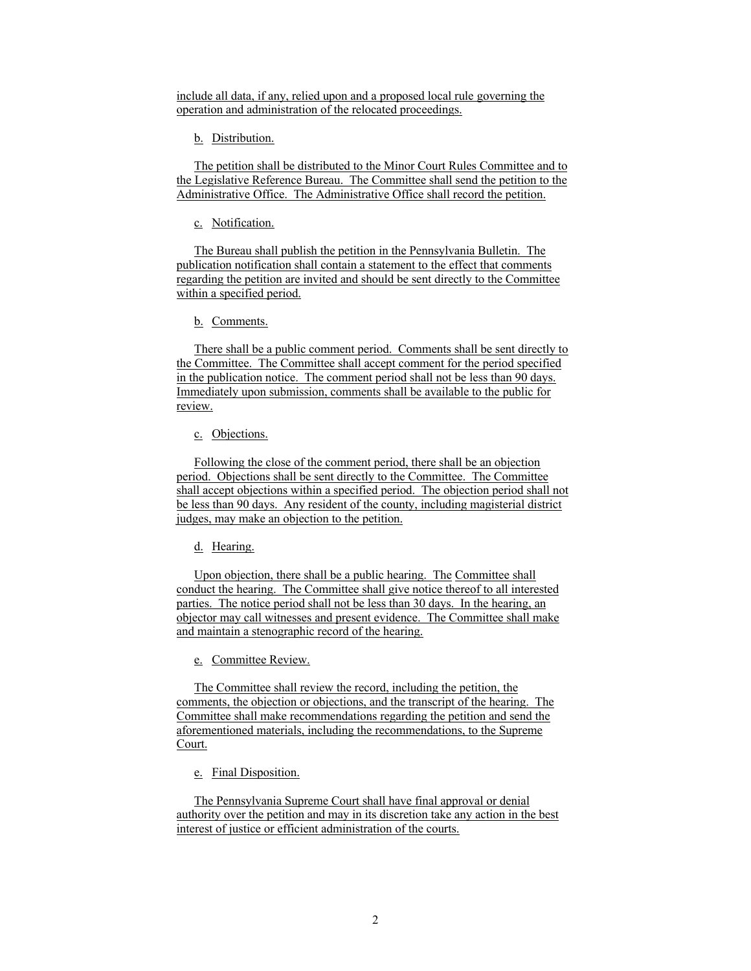include all data, if any, relied upon and a proposed local rule governing the operation and administration of the relocated proceedings.

b. Distribution.

The petition shall be distributed to the Minor Court Rules Committee and to the Legislative Reference Bureau. The Committee shall send the petition to the Administrative Office. The Administrative Office shall record the petition.

c. Notification.

The Bureau shall publish the petition in the Pennsylvania Bulletin. The publication notification shall contain a statement to the effect that comments regarding the petition are invited and should be sent directly to the Committee within a specified period.

b. Comments.

There shall be a public comment period. Comments shall be sent directly to the Committee. The Committee shall accept comment for the period specified in the publication notice. The comment period shall not be less than 90 days. Immediately upon submission, comments shall be available to the public for review.

c. Objections.

Following the close of the comment period, there shall be an objection period. Objections shall be sent directly to the Committee. The Committee shall accept objections within a specified period. The objection period shall not be less than 90 days. Any resident of the county, including magisterial district judges, may make an objection to the petition.

d. Hearing.

Upon objection, there shall be a public hearing. The Committee shall conduct the hearing. The Committee shall give notice thereof to all interested parties. The notice period shall not be less than 30 days. In the hearing, an objector may call witnesses and present evidence. The Committee shall make and maintain a stenographic record of the hearing.

e. Committee Review.

The Committee shall review the record, including the petition, the comments, the objection or objections, and the transcript of the hearing. The Committee shall make recommendations regarding the petition and send the aforementioned materials, including the recommendations, to the Supreme Court.

e. Final Disposition.

The Pennsylvania Supreme Court shall have final approval or denial authority over the petition and may in its discretion take any action in the best interest of justice or efficient administration of the courts.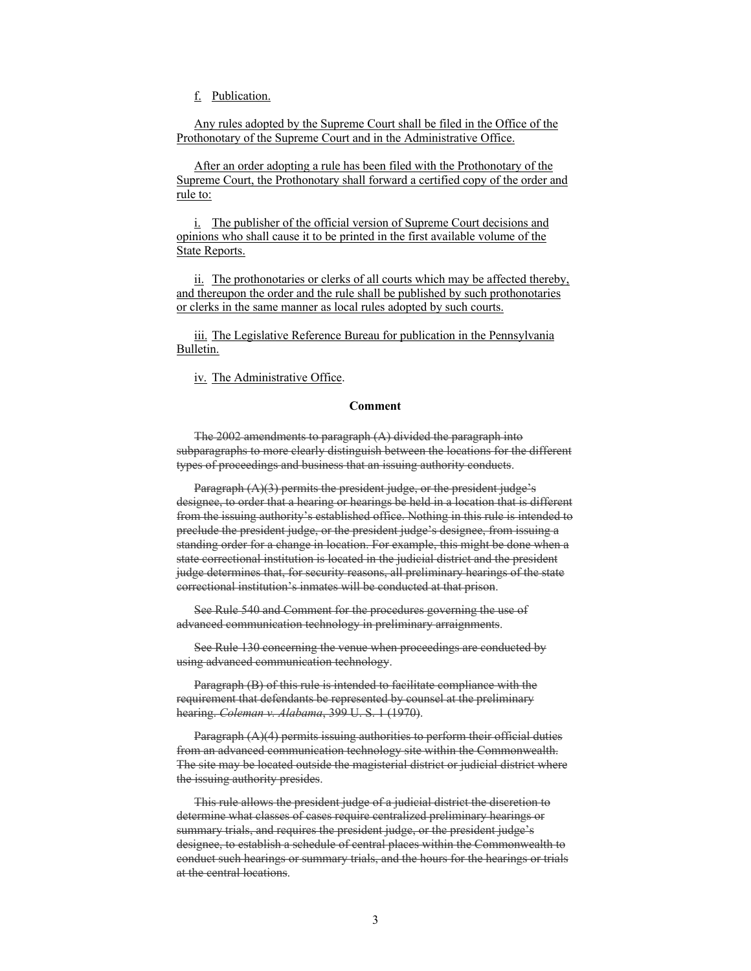f. Publication.

Any rules adopted by the Supreme Court shall be filed in the Office of the Prothonotary of the Supreme Court and in the Administrative Office.

After an order adopting a rule has been filed with the Prothonotary of the Supreme Court, the Prothonotary shall forward a certified copy of the order and rule to:

i. The publisher of the official version of Supreme Court decisions and opinions who shall cause it to be printed in the first available volume of the State Reports.

ii. The prothonotaries or clerks of all courts which may be affected thereby, and thereupon the order and the rule shall be published by such prothonotaries or clerks in the same manner as local rules adopted by such courts.

iii. The Legislative Reference Bureau for publication in the Pennsylvania Bulletin.

iv. The Administrative Office.

# **Comment**

The 2002 amendments to paragraph (A) divided the paragraph into subparagraphs to more clearly distinguish between the locations for the different types of proceedings and business that an issuing authority conducts.

Paragraph (A)(3) permits the president judge, or the president judge's designee, to order that a hearing or hearings be held in a location that is different from the issuing authority's established office. Nothing in this rule is intended to preclude the president judge, or the president judge's designee, from issuing a standing order for a change in location. For example, this might be done when a state correctional institution is located in the judicial district and the president judge determines that, for security reasons, all preliminary hearings of the state correctional institution's inmates will be conducted at that prison.

 See Rule 540 and Comment for the procedures governing the use of advanced communication technology in preliminary arraignments.

 See Rule 130 concerning the venue when proceedings are conducted by using advanced communication technology.

 Paragraph (B) of this rule is intended to facilitate compliance with the requirement that defendants be represented by counsel at the preliminary hearing. *Coleman v. Alabama*, 399 U. S. 1 (1970).

 Paragraph (A)(4) permits issuing authorities to perform their official duties from an advanced communication technology site within the Commonwealth. The site may be located outside the magisterial district or judicial district where the issuing authority presides.

 This rule allows the president judge of a judicial district the discretion to determine what classes of cases require centralized preliminary hearings or summary trials, and requires the president judge, or the president judge's designee, to establish a schedule of central places within the Commonwealth to conduct such hearings or summary trials, and the hours for the hearings or trials at the central locations.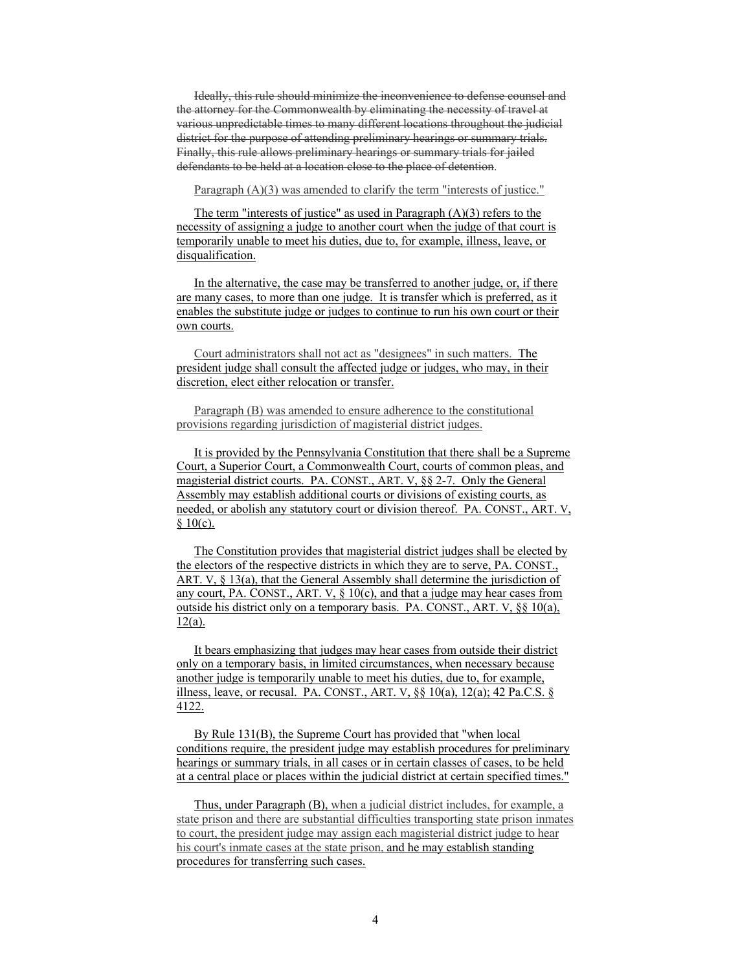Ideally, this rule should minimize the inconvenience to defense counsel and the attorney for the Commonwealth by eliminating the necessity of travel at various unpredictable times to many different locations throughout the judicial district for the purpose of attending preliminary hearings or summary trials. Finally, this rule allows preliminary hearings or summary trials for jailed defendants to be held at a location close to the place of detention.

Paragraph (A)(3) was amended to clarify the term "interests of justice."

The term "interests of justice" as used in Paragraph  $(A)(3)$  refers to the necessity of assigning a judge to another court when the judge of that court is temporarily unable to meet his duties, due to, for example, illness, leave, or disqualification.

In the alternative, the case may be transferred to another judge, or, if there are many cases, to more than one judge. It is transfer which is preferred, as it enables the substitute judge or judges to continue to run his own court or their own courts.

Court administrators shall not act as "designees" in such matters. The president judge shall consult the affected judge or judges, who may, in their discretion, elect either relocation or transfer.

Paragraph (B) was amended to ensure adherence to the constitutional provisions regarding jurisdiction of magisterial district judges.

It is provided by the Pennsylvania Constitution that there shall be a Supreme Court, a Superior Court, a Commonwealth Court, courts of common pleas, and magisterial district courts. PA. CONST., ART. V, §§ 2-7. Only the General Assembly may establish additional courts or divisions of existing courts, as needed, or abolish any statutory court or division thereof. PA. CONST., ART. V,  $§ 10(c).$ 

The Constitution provides that magisterial district judges shall be elected by the electors of the respective districts in which they are to serve, PA. CONST., ART. V, § 13(a), that the General Assembly shall determine the jurisdiction of any court, PA. CONST., ART. V,  $\S$  10(c), and that a judge may hear cases from outside his district only on a temporary basis. PA. CONST., ART. V, §§ 10(a),  $12(a)$ .

It bears emphasizing that judges may hear cases from outside their district only on a temporary basis, in limited circumstances, when necessary because another judge is temporarily unable to meet his duties, due to, for example, illness, leave, or recusal. PA. CONST., ART. V,  $\S$ § 10(a), 12(a); 42 Pa.C.S. § 4122.

By Rule 131(B), the Supreme Court has provided that "when local conditions require, the president judge may establish procedures for preliminary hearings or summary trials, in all cases or in certain classes of cases, to be held at a central place or places within the judicial district at certain specified times."

Thus, under Paragraph (B), when a judicial district includes, for example, a state prison and there are substantial difficulties transporting state prison inmates to court, the president judge may assign each magisterial district judge to hear his court's inmate cases at the state prison, and he may establish standing procedures for transferring such cases.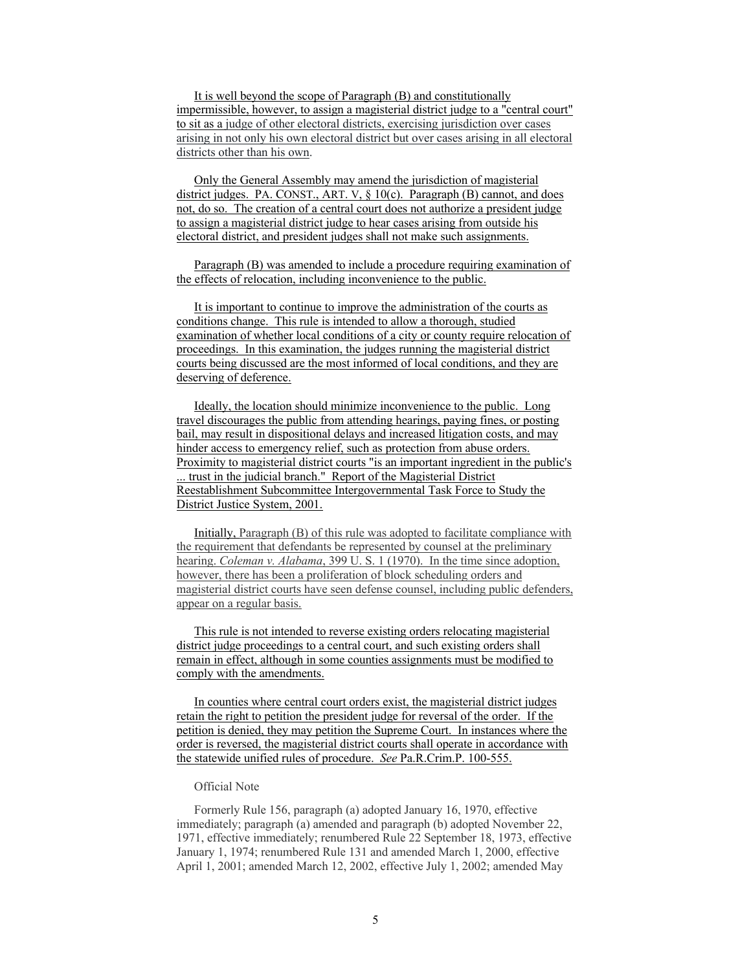It is well beyond the scope of Paragraph (B) and constitutionally impermissible, however, to assign a magisterial district judge to a "central court" to sit as a judge of other electoral districts, exercising jurisdiction over cases arising in not only his own electoral district but over cases arising in all electoral districts other than his own.

Only the General Assembly may amend the jurisdiction of magisterial district judges. PA. CONST., ART. V, § 10(c). Paragraph (B) cannot, and does not, do so. The creation of a central court does not authorize a president judge to assign a magisterial district judge to hear cases arising from outside his electoral district, and president judges shall not make such assignments.

Paragraph (B) was amended to include a procedure requiring examination of the effects of relocation, including inconvenience to the public.

It is important to continue to improve the administration of the courts as conditions change. This rule is intended to allow a thorough, studied examination of whether local conditions of a city or county require relocation of proceedings. In this examination, the judges running the magisterial district courts being discussed are the most informed of local conditions, and they are deserving of deference.

Ideally, the location should minimize inconvenience to the public. Long travel discourages the public from attending hearings, paying fines, or posting bail, may result in dispositional delays and increased litigation costs, and may hinder access to emergency relief, such as protection from abuse orders. Proximity to magisterial district courts "is an important ingredient in the public's ... trust in the judicial branch." Report of the Magisterial District Reestablishment Subcommittee Intergovernmental Task Force to Study the District Justice System, 2001.

Initially, Paragraph (B) of this rule was adopted to facilitate compliance with the requirement that defendants be represented by counsel at the preliminary hearing. *Coleman v. Alabama*, 399 U. S. 1 (1970). In the time since adoption, however, there has been a proliferation of block scheduling orders and magisterial district courts have seen defense counsel, including public defenders, appear on a regular basis.

This rule is not intended to reverse existing orders relocating magisterial district judge proceedings to a central court, and such existing orders shall remain in effect, although in some counties assignments must be modified to comply with the amendments.

In counties where central court orders exist, the magisterial district judges retain the right to petition the president judge for reversal of the order. If the petition is denied, they may petition the Supreme Court. In instances where the order is reversed, the magisterial district courts shall operate in accordance with the statewide unified rules of procedure. *See* Pa.R.Crim.P. 100-555.

### Official Note

 Formerly Rule 156, paragraph (a) adopted January 16, 1970, effective immediately; paragraph (a) amended and paragraph (b) adopted November 22, 1971, effective immediately; renumbered Rule 22 September 18, 1973, effective January 1, 1974; renumbered Rule 131 and amended March 1, 2000, effective April 1, 2001; amended March 12, 2002, effective July 1, 2002; amended May